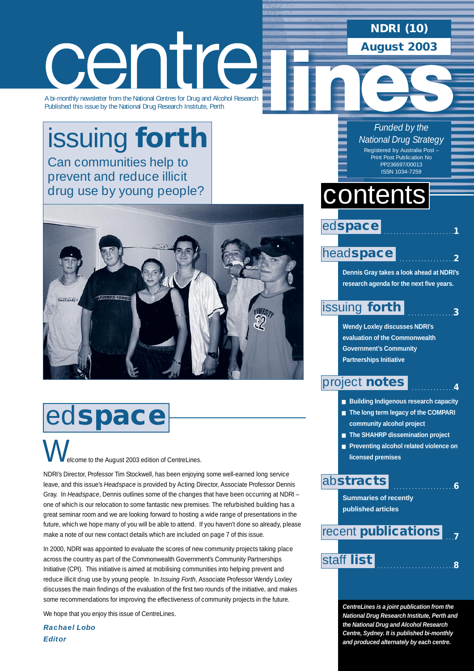### **NDRI (10) August 2003**

# centre

A bi-monthly newsletter from the National Centres for Drug and Alcohol Research Published this issue by the National Drug Research Institute, Perth

# [issuing](#page-2-0) **forth** Can communities help to

prevent and reduce illicit drug use by young people?



# ed**space**

elcome to the August 2003 edition of CentreLines. W

NDRI's Director, Professor Tim Stockwell, has been enjoying some well-earned long service leave, and this issue's *Headspace* is provided by Acting Director, Associate Professor Dennis Gray. In *Headspace*, Dennis outlines some of the changes that have been occurring at NDRI – one of which is our relocation to some fantastic new premises. The refurbished building has a great seminar room and we are looking forward to hosting a wide range of presentations in the future, which we hope many of you will be able to attend. If you haven't done so already, please make a note of our new contact details which are included on page 7 of this issue.

In 2000, NDRI was appointed to evaluate the scores of new community projects taking place across the country as part of the Commonwealth Government's Community Partnerships Initiative (CPI). This initiative is aimed at mobilising communities into helping prevent and reduce illicit drug use by young people. In *Issuing Forth*, Associate Professor Wendy Loxley discusses the main findings of the evaluation of the first two rounds of the initiative, and makes some recommendations for improving the effectiveness of community projects in the future.

We hope that you enjoy this issue of CentreLines.

*Rachael Lobo Editor*

#### *Funded by the National Drug Strategy* Registered by Australia Post – Print Post Publication No

PP236697/00013 ISSN 1034-7259

# contents

### ed**space**

#### head**[space](#page-1-0)**

**Dennis Gray takes a look ahead at NDRI's research agenda for the next five years.**

. . . . . . . . . . . . . . . . . . . . . . .**1**

. . . . . . . . . . . . . . . . . .**2**

. . . . . . . . . . . . . .**4**

. . . . . . . . . . . . . . . . . . . .**6**

 $\overline{3}$ 

### [issuing](#page-2-0) **forth**

**Wendy Loxley discusses NDRI's evaluation of the Commonwealth Government's Community Partnerships Initiative** 

### [project](#page-3-0) **notes**

- **Building Indigenous research capacity**
- **The long term legacy of the COMPARI community alcohol project**
- **The SHAHRP dissemination project**
- **Preventing alcohol related violence on licensed premises**

### ab**[stracts](#page-5-0)**

**Summaries of recently published articles** 

# . . .**7** recent **[publications](#page-6-0)**

. . . . . . . . . . . . . . . . . . . . . . . . .**<sup>8</sup>** [staff](#page-7-0) **list**

**CentreLines is a joint publication from the National Drug Research Institute, Perth and the National Drug and Alcohol Research Centre, Sydney. It is published bi-monthly and produced alternately by each centre.**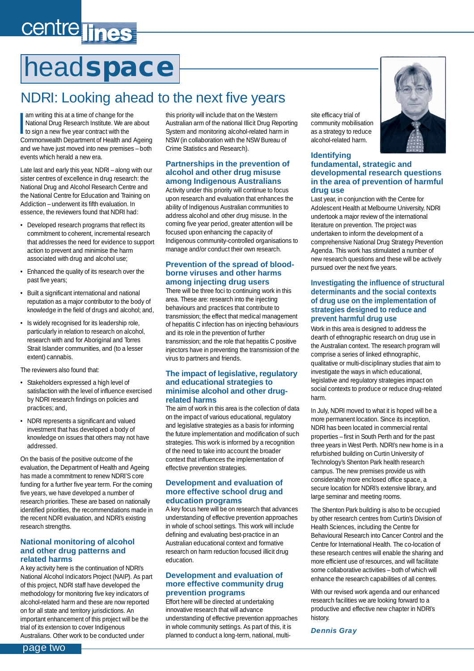# <span id="page-1-0"></span>centre lines

# head**space**

# NDRI: Looking ahead to the next five years

am writing this at a time of change for the<br>
National Drug Research Institute. We are<br>
to sign a new five year contract with the<br>
Commonwealth Department of Hoalth and am writing this at a time of change for the National Drug Research Institute. We are about Commonwealth Department of Health and Ageing and we have just moved into new premises – both events which herald a new era.

Late last and early this year, NDRI – along with our sister centres of excellence in drug research: the National Drug and Alcohol Research Centre and the National Centre for Education and Training on Addiction – underwent its fifth evaluation. In essence, the reviewers found that NDRI had:

- Developed research programs that reflect its commitment to coherent, incremental research that addresses the need for evidence to support action to prevent and minimise the harm associated with drug and alcohol use;
- Enhanced the quality of its research over the past five years;
- Built a significant international and national reputation as a major contributor to the body of knowledge in the field of drugs and alcohol; and,
- Is widely recognised for its leadership role, particularly in relation to research on alcohol, research with and for Aboriginal and Torres Strait Islander communities, and (to a lesser extent) cannabis.

The reviewers also found that:

- Stakeholders expressed a high level of satisfaction with the level of influence exercised by NDRI research findings on policies and practices; and,
- NDRI represents a significant and valued investment that has developed a body of knowledge on issues that others may not have addressed.

On the basis of the positive outcome of the evaluation, the Department of Health and Ageing has made a commitment to renew NDRI'S core funding for a further five year term. For the coming five years, we have developed a number of research priorities. These are based on nationally identified priorities, the recommendations made in the recent NDRI evaluation, and NDRI's existing research strengths.

#### **National monitoring of alcohol and other drug patterns and related harms**

A key activity here is the continuation of NDRI's National Alcohol Indicators Project (NAIP). As part of this project, NDRI staff have developed the methodology for monitoring five key indicators of alcohol-related harm and these are now reported on for all state and territory jurisdictions. An important enhancement of this project will be the trial of its extension to cover Indigenous Australians. Other work to be conducted under

this priority will include that on the Western Australian arm of the national Illicit Drug Reporting System and monitoring alcohol-related harm in NSW (in collaboration with the NSW Bureau of Crime Statistics and Research).

#### **Partnerships in the prevention of alcohol and other drug misuse among Indigenous Australians**

Activity under this priority will continue to focus upon research and evaluation that enhances the ability of Indigenous Australian communities to address alcohol and other drug misuse. In the coming five year period, greater attention will be focused upon enhancing the capacity of Indigenous community-controlled organisations to manage and/or conduct their own research.

#### **Prevention of the spread of bloodborne viruses and other harms among injecting drug users**

There will be three foci to continuing work in this area. These are: research into the injecting behaviours and practices that contribute to transmission; the effect that medical management of hepatitis C infection has on injecting behaviours and its role in the prevention of further transmission; and the role that hepatitis C positive injectors have in preventing the transmission of the virus to partners and friends.

#### **The impact of legislative, regulatory and educational strategies to minimise alcohol and other drugrelated harms**

The aim of work in this area is the collection of data on the impact of various educational, regulatory and legislative strategies as a basis for informing the future implementation and modification of such strategies. This work is informed by a recognition of the need to take into account the broader context that influences the implementation of effective prevention strategies.

#### **Development and evaluation of more effective school drug and education programs**

A key focus here will be on research that advances understanding of effective prevention approaches in whole of school settings. This work will include defining and evaluating best-practice in an Australian educational context and formative research on harm reduction focused illicit drug education.

#### **Development and evaluation of more effective community drug prevention programs**

Effort here will be directed at undertaking innovative research that will advance understanding of effective prevention approaches in whole community settings. As part of this, it is planned to conduct a long-term, national, multisite efficacy trial of community mobilisation as a strategy to reduce alcohol-related harm.

#### **Identifying fundamental, strategic and developmental research questions in the area of prevention of harmful drug use**

Last year, in conjunction with the Centre for Adolescent Health at Melbourne University, NDRI undertook a major review of the international literature on prevention. The project was undertaken to inform the development of a comprehensive National Drug Strategy Prevention Agenda. This work has stimulated a number of new research questions and these will be actively pursued over the next five years.

#### **Investigating the influence of structural determinants and the social contexts of drug use on the implementation of strategies designed to reduce and prevent harmful drug use**

Work in this area is designed to address the dearth of ethnographic research on drug use in the Australian context. The research program will comprise a series of linked ethnographic, qualitative or multi-disciplinary studies that aim to investigate the ways in which educational, legislative and regulatory strategies impact on social contexts to produce or reduce drug-related harm.

In July, NDRI moved to what it is hoped will be a more permanent location. Since its inception, NDRI has been located in commercial rental properties – first in South Perth and for the past three years in West Perth. NDRI's new home is in a refurbished building on Curtin University of Technology's Shenton Park health research campus. The new premises provide us with considerably more enclosed office space, a secure location for NDRI's extensive library, and large seminar and meeting rooms.

The Shenton Park building is also to be occupied by other research centres from Curtin's Division of Health Sciences, including the Centre for Behavioural Research into Cancer Control and the Centre for International Health. The co-location of these research centres will enable the sharing and more efficient use of resources, and will facilitate some collaborative activities – both of which will enhance the research capabilities of all centres.

With our revised work agenda and our enhanced research facilities we are looking forward to a productive and effective new chapter in NDRI's history.

#### *Dennis Gray*



page two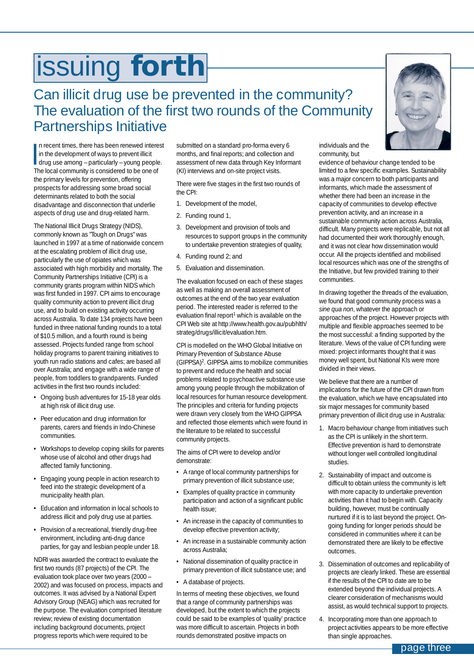# <span id="page-2-0"></span>issuing **forth**

### Can illicit drug use be prevented in the community? The evaluation of the first two rounds of the Community Partnerships Initiative

In recent times, there has been renewed interes<br>
in the development of ways to prevent illicit<br>
drug use among – particularly – young people.<br>
The local community is considered to be one of n recent times, there has been renewed interest in the development of ways to prevent illicit The local community is considered to be one of the primary levels for prevention, offering prospects for addressing some broad social determinants related to both the social disadvantage and disconnection that underlie aspects of drug use and drug-related harm.

The National Illicit Drugs Strategy (NIDS), commonly known as "Tough on Drugs" was launched in 1997 at a time of nationwide concern at the escalating problem of illicit drug use, particularly the use of opiates which was associated with high morbidity and mortality. The Community Partnerships Initiative (CPI) is a community grants program within NIDS which was first funded in 1997. CPI aims to encourage quality community action to prevent illicit drug use, and to build on existing activity occurring across Australia. To date 134 projects have been funded in three national funding rounds to a total of \$10.5 million, and a fourth round is being assessed. Projects funded range from school holiday programs to parent training initiatives to youth run radio stations and cafes; are based all over Australia; and engage with a wide range of people, from toddlers to grandparents. Funded activities in the first two rounds included:

- Ongoing bush adventures for 15-18 year olds at high risk of illicit drug use.
- Peer education and drug information for parents, carers and friends in Indo-Chinese communities.
- Workshops to develop coping skills for parents whose use of alcohol and other drugs had affected family functioning.
- Engaging young people in action research to feed into the strategic development of a municipality health plan.
- Education and information in local schools to address illicit and poly drug use at parties.
- Provision of a recreational, friendly drug-free environment, including anti-drug dance parties, for gay and lesbian people under 18.

NDRI was awarded the contract to evaluate the first two rounds (87 projects) of the CPI. The evaluation took place over two years (2000 – 2002) and was focused on process, impacts and outcomes. It was advised by a National Expert Advisory Group (NEAG) which was recruited for the purpose. The evaluation comprised literature review; review of existing documentation including background documents, project progress reports which were required to be

submitted on a standard pro-forma every 6 months, and final reports; and collection and assessment of new data through Key Informant (KI) interviews and on-site project visits.

There were five stages in the first two rounds of the CPI:

- 1. Development of the model,
- 2. Funding round 1,
- 3. Development and provision of tools and resources to support groups in the community to undertake prevention strategies of quality,
- 4. Funding round 2; and
- 5. Evaluation and dissemination.

The evaluation focused on each of these stages as well as making an overall assessment of outcomes at the end of the two year evaluation period. The interested reader is referred to the evaluation final report<sup>1</sup> which is available on the CPI Web site at http://www.health.gov.au/pubhlth/ strateg/drugs/illicit/evaluation.htm.

CPI is modelled on the WHO Global Initiative on Primary Prevention of Substance Abuse (GIPPSA)2. GIPPSA aims to mobilize communities to prevent and reduce the health and social problems related to psychoactive substance use among young people through the mobilization of local resources for human resource development. The principles and criteria for funding projects were drawn very closely from the WHO GIPPSA and reflected those elements which were found in the literature to be related to successful community projects.

The aims of CPI were to develop and/or demonstrate:

- A range of local community partnerships for primary prevention of illicit substance use;
- Examples of quality practice in community participation and action of a significant public health issue;
- An increase in the capacity of communities to develop effective prevention activity;
- An increase in a sustainable community action across Australia;
- National dissemination of quality practice in primary prevention of illicit substance use; and
- A database of projects.

In terms of meeting these objectives, we found that a range of community partnerships was developed, but the extent to which the projects could be said to be examples of 'quality' practice was more difficult to ascertain. Projects in both rounds demonstrated positive impacts on

individuals and the community, but

evidence of behaviour change tended to be limited to a few specific examples. Sustainability was a major concern to both participants and informants, which made the assessment of whether there had been an increase in the capacity of communities to develop effective prevention activity, and an increase in a sustainable community action across Australia, difficult. Many projects were replicable, but not all had documented their work thoroughly enough, and it was not clear how dissemination would occur. All the projects identified and mobilised local resources which was one of the strengths of the Initiative, but few provided training to their communities.

In drawing together the threads of the evaluation, we found that good community process was a *sine qua non*, whatever the approach or approaches of the project. However projects with multiple and flexible approaches seemed to be the most successful: a finding supported by the literature. Views of the value of CPI funding were mixed: project informants thought that it was money well spent, but National KIs were more divided in their views.

We believe that there are a number of implications for the future of the CPI drawn from the evaluation, which we have encapsulated into six major messages for community based primary prevention of illicit drug use in Australia:

- 1. Macro behaviour change from initiatives such as the CPI is unlikely in the short term. Effective prevention is hard to demonstrate without longer well controlled longitudinal studies.
- 2. Sustainability of impact and outcome is difficult to obtain unless the community is left with more capacity to undertake prevention activities than it had to begin with. Capacity building, however, must be continually nurtured if it is to last beyond the project. Ongoing funding for longer periods should be considered in communities where it can be demonstrated there are likely to be effective outcomes.
- 3. Dissemination of outcomes and replicability of projects are clearly linked. These are essential if the results of the CPI to date are to be extended beyond the individual projects. A clearer consideration of mechanisms would assist, as would technical support to projects.
- 4. Incorporating more than one approach to project activities appears to be more effective than single approaches.

page three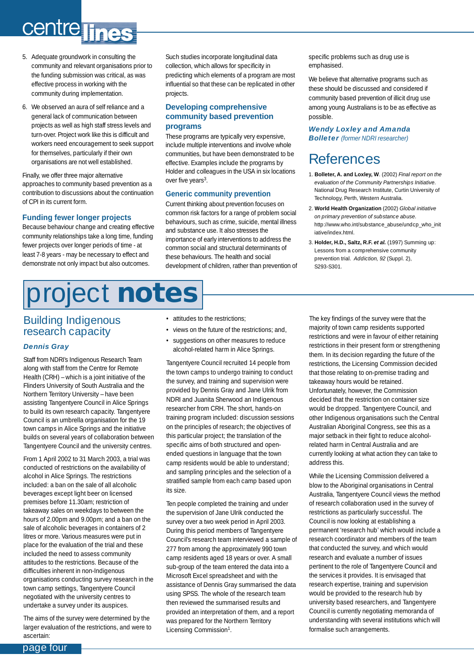# <span id="page-3-0"></span>centre lines

- 5. Adequate groundwork in consulting the community and relevant organisations prior to the funding submission was critical, as was effective process in working with the community during implementation.
- 6. We observed an aura of self reliance and a general lack of communication between projects as well as high staff stress levels and turn-over. Project work like this is difficult and workers need encouragement to seek support for themselves, particularly if their own organisations are not well established.

Finally, we offer three major alternative approaches to community based prevention as a contribution to discussions about the continuation of CPI in its current form.

#### **Funding fewer longer projects**

Because behaviour change and creating effective community relationships take a long time, funding fewer projects over longer periods of time - at least 7-8 years - may be necessary to effect and demonstrate not only impact but also outcomes.

#### Such studies incorporate longitudinal data collection, which allows for specificity in predicting which elements of a program are most influential so that these can be replicated in other projects.

#### **Developing comprehensive community based prevention programs**

These programs are typically very expensive, include multiple interventions and involve whole communities, but have been demonstrated to be effective. Examples include the programs by Holder and colleagues in the USA in six locations over five years<sup>3</sup>.

#### **Generic community prevention**

Current thinking about prevention focuses on common risk factors for a range of problem social behaviours, such as crime, suicide, mental illness and substance use. It also stresses the importance of early interventions to address the common social and structural determinants of these behaviours. The health and social development of children, rather than prevention of specific problems such as drug use is emphasised.

We believe that alternative programs such as these should be discussed and considered if community based prevention of illicit drug use among young Australians is to be as effective as possible.

#### *Wendy Loxley and Amanda* **Bolleter** (former NDRI researcher)

### References

- 1. **Bolleter, A. and Loxley, W**. (2002) *Final report on the evaluation of the Community Partnerships Initiative*. National Drug Research Institute, Curtin University of Technology, Perth, Western Australia.
- 2. **World Health Organization** (2002) *Global initiative on primary prevention of substance abuse*. http://www.who.int/substance\_abuse/undcp\_who\_init iative/index.html.
- 3. **Holder, H.D., Saltz, R.F. et al.** (1997) Summing up: Lessons from a comprehensive community prevention trial. *Addiction, 92* (Suppl. 2), S293-S301.

# project **notes**

#### Building Indigenous research capacity

#### *Dennis Gray*

Staff from NDRI's Indigenous Research Team along with staff from the Centre for Remote Health (CRH) – which is a joint initiative of the Flinders University of South Australia and the Northern Territory University – have been assisting Tangentyere Council in Alice Springs to build its own research capacity. Tangentyere Council is an umbrella organisation for the 19 town camps in Alice Springs and the initiative builds on several years of collaboration between Tangentyere Council and the university centres.

From 1 April 2002 to 31 March 2003, a trial was conducted of restrictions on the availability of alcohol in Alice Springs. The restrictions included: a ban on the sale of all alcoholic beverages except light beer on licensed premises before 11.30am; restriction of takeaway sales on weekdays to between the hours of 2.00pm and 9.00pm; and a ban on the sale of alcoholic beverages in containers of 2 litres or more. Various measures were put in place for the evaluation of the trial and these included the need to assess community attitudes to the restrictions. Because of the difficulties inherent in non-Indigenous organisations conducting survey research in the town camp settings, Tangentyere Council negotiated with the university centres to undertake a survey under its auspices.

The aims of the survey were determined by the larger evaluation of the restrictions, and were to ascertain:

- attitudes to the restrictions
- views on the future of the restrictions; and,
- suggestions on other measures to reduce alcohol-related harm in Alice Springs.

Tangentyere Council recruited 14 people from the town camps to undergo training to conduct the survey, and training and supervision were provided by Dennis Gray and Jane Ulrik from NDRI and Juanita Sherwood an Indigenous researcher from CRH. The short, hands-on training program included: discussion sessions on the principles of research; the objectives of this particular project; the translation of the specific aims of both structured and openended questions in language that the town camp residents would be able to understand; and sampling principles and the selection of a stratified sample from each camp based upon its size.

Ten people completed the training and under the supervision of Jane Ulrik conducted the survey over a two week period in April 2003. During this period members of Tangentyere Council's research team interviewed a sample of 277 from among the approximately 990 town camp residents aged 18 years or over. A small sub-group of the team entered the data into a Microsoft Excel spreadsheet and with the assistance of Dennis Gray summarised the data using SPSS. The whole of the research team then reviewed the summarised results and provided an interpretation of them, and a report was prepared for the Northern Territory Licensing Commission<sup>1</sup>.

The key findings of the survey were that the majority of town camp residents supported restrictions and were in favour of either retaining restrictions in their present form or strengthening them. In its decision regarding the future of the restrictions, the Licensing Commission decided that those relating to on-premise trading and takeaway hours would be retained. Unfortunately, however, the Commission decided that the restriction on container size would be dropped. Tangentyere Council, and other Indigenous organisations such the Central Australian Aboriginal Congress, see this as a major setback in their fight to reduce alcoholrelated harm in Central Australia and are currently looking at what action they can take to address this.

While the Licensing Commission delivered a blow to the Aboriginal organisations in Central Australia, Tangentyere Council views the method of research collaboration used in the survey of restrictions as particularly successful. The Council is now looking at establishing a permanent 'research hub' which would include a research coordinator and members of the team that conducted the survey, and which would research and evaluate a number of issues pertinent to the role of Tangentyere Council and the services it provides. It is envisaged that research expertise, training and supervision would be provided to the research hub by university based researchers, and Tangentyere Council is currently negotiating memoranda of understanding with several institutions which will formalise such arrangements.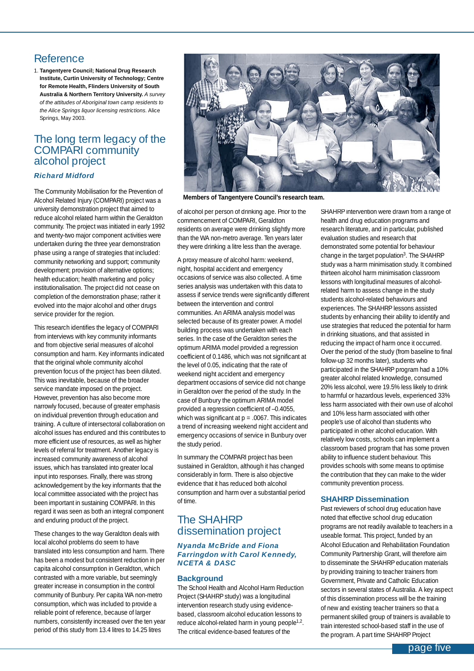#### Reference

1. **Tangentyere Council; National Drug Research Institute, Curtin University of Technology; Centre for Remote Health, Flinders University of South Australia & Northern Territory University.** *A survey of the attitudes of Aboriginal town camp residents to the Alice Springs liquor licensing restrictions*. Alice Springs, May 2003.

#### The long term legacy of the COMPARI community alcohol project

#### *Richard Midford*

The Community Mobilisation for the Prevention of Alcohol Related Injury (COMPARI) project was a university demonstration project that aimed to reduce alcohol related harm within the Geraldton community. The project was initiated in early 1992 and twenty-two major component activities were undertaken during the three year demonstration phase using a range of strategies that included: community networking and support; community development; provision of alternative options; health education; health marketing and policy institutionalisation. The project did not cease on completion of the demonstration phase; rather it evolved into the major alcohol and other drugs service provider for the region.

This research identifies the legacy of COMPARI from interviews with key community informants and from objective serial measures of alcohol consumption and harm. Key informants indicated that the original whole community alcohol prevention focus of the project has been diluted. This was inevitable, because of the broader service mandate imposed on the project. However, prevention has also become more narrowly focused, because of greater emphasis on individual prevention through education and training. A culture of intersectoral collaboration on alcohol issues has endured and this contributes to more efficient use of resources, as well as higher levels of referral for treatment. Another legacy is increased community awareness of alcohol issues, which has translated into greater local input into responses. Finally, there was strong acknowledgement by the key informants that the local committee associated with the project has been important in sustaining COMPARI. In this regard it was seen as both an integral component and enduring product of the project.

These changes to the way Geraldton deals with local alcohol problems do seem to have translated into less consumption and harm. There has been a modest but consistent reduction in per capita alcohol consumption in Geraldton, which contrasted with a more variable, but seemingly greater increase in consumption in the control community of Bunbury. Per capita WA non-metro consumption, which was included to provide a reliable point of reference, because of larger numbers, consistently increased over the ten year period of this study from 13.4 litres to 14.25 litres



**Members of Tangentyere Council's research team.**

of alcohol per person of drinking age. Prior to the commencement of COMPARI, Geraldton residents on average were drinking slightly more than the WA non-metro average. Ten years later they were drinking a litre less than the average.

A proxy measure of alcohol harm: weekend, night, hospital accident and emergency occasions of service was also collected. A time series analysis was undertaken with this data to assess if service trends were significantly different between the intervention and control communities. An ARIMA analysis model was selected because of its greater power. A model building process was undertaken with each series. In the case of the Geraldton series the optimum ARIMA model provided a regression coefficient of 0.1486, which was not significant at the level of 0.05, indicating that the rate of weekend night accident and emergency department occasions of service did not change in Geraldton over the period of the study. In the case of Bunbury the optimum ARIMA model provided a regression coefficient of –0.4055, which was significant at  $p = .0067$ . This indicates a trend of increasing weekend night accident and emergency occasions of service in Bunbury over the study period.

In summary the COMPARI project has been sustained in Geraldton, although it has changed considerably in form. There is also objective evidence that it has reduced both alcohol consumption and harm over a substantial period of time.

#### The SHAHRP dissemination project

#### *Nyanda McBride and Fiona Farringdon with Carol Kennedy, NCETA & DASC*

#### **Background**

The School Health and Alcohol Harm Reduction Project (SHAHRP study) was a longitudinal intervention research study using evidencebased, classroom alcohol education lessons to reduce alcohol-related harm in young people<sup>1,2</sup>. The critical evidence-based features of the

SHAHRP intervention were drawn from a range of health and drug education programs and research literature, and in particular, published evaluation studies and research that demonstrated some potential for behaviour change in the target population<sup>3</sup>. The SHAHRP study was a harm minimisation study. It combined thirteen alcohol harm minimisation classroom lessons with longitudinal measures of alcoholrelated harm to assess change in the study students alcohol-related behaviours and experiences. The SHAHRP lessons assisted students by enhancing their ability to identify and use strategies that reduced the potential for harm in drinking situations, and that assisted in reducing the impact of harm once it occurred. Over the period of the study (from baseline to final follow-up 32 months later), students who participated in the SHAHRP program had a 10% greater alcohol related knowledge, consumed 20% less alcohol, were 19.5% less likely to drink to harmful or hazardous levels, experienced 33% less harm associated with their own use of alcohol and 10% less harm associated with other people's use of alcohol than students who participated in other alcohol education. With relatively low costs, schools can implement a classroom based program that has some proven ability to influence student behaviour. This provides schools with some means to optimise the contribution that they can make to the wider community prevention process.

#### **SHAHRP Dissemination**

Past reviewers of school drug education have noted that effective school drug education programs are not readily available to teachers in a useable format. This project, funded by an Alcohol Education and Rehabilitation Foundation Community Partnership Grant, will therefore aim to disseminate the SHAHRP education materials by providing training to teacher trainers from Government, Private and Catholic Education sectors in several states of Australia. A key aspect of this dissemination process will be the training of new and existing teacher trainers so that a permanent skilled group of trainers is available to train interested school-based staff in the use of the program. A part time SHAHRP Project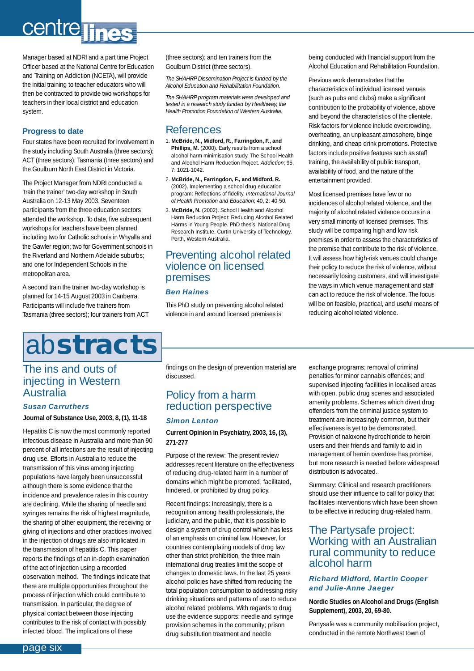# <span id="page-5-0"></span>centre lines

Manager based at NDRI and a part time Project Officer based at the National Centre for Education and Training on Addiction (NCETA), will provide the initial training to teacher educators who will then be contracted to provide two workshops for teachers in their local district and education system.

#### **Progress to date**

Four states have been recruited for involvement in the study including South Australia (three sectors); ACT (three sectors); Tasmania (three sectors) and the Goulburn North East District in Victoria.

The Project Manager from NDRI conducted a 'train the trainer' two-day workshop in South Australia on 12-13 May 2003. Seventeen participants from the three education sectors attended the workshop. To date, five subsequent workshops for teachers have been planned including two for Catholic schools in Whyalla and the Gawler region; two for Government schools in the Riverland and Northern Adelaide suburbs; and one for Independent Schools in the metropolitan area.

A second train the trainer two-day workshop is planned for 14-15 August 2003 in Canberra. Participants will include five trainers from Tasmania (three sectors); four trainers from ACT

# ab**stracts**

#### The ins and outs of injecting in Western Australia

#### *Susan Carruthers* **Journal of Substance Use, 2003, 8, (1), 11-18**

Hepatitis C is now the most commonly reported infectious disease in Australia and more than 90 percent of all infections are the result of injecting drug use. Efforts in Australia to reduce the transmission of this virus among injecting populations have largely been unsuccessful although there is some evidence that the incidence and prevalence rates in this country are declining. While the sharing of needle and syringes remains the risk of highest magnitude, the sharing of other equipment, the receiving or giving of injections and other practices involved in the injection of drugs are also implicated in the transmission of hepatitis C. This paper reports the findings of an in-depth examination of the act of injection using a recorded observation method. The findings indicate that there are multiple opportunities throughout the process of injection which could contribute to transmission. In particular, the degree of physical contact between those injecting contributes to the risk of contact with possibly infected blood. The implications of these

(three sectors); and ten trainers from the Goulburn District (three sectors).

*The SHAHRP Dissemination Project is funded by the Alcohol Education and Rehabilitation Foundation.*

*The SHAHRP program materials were developed and tested in a research study funded by Healthway, the Health Promotion Foundation of Western Australia.*

#### References

- 1. **McBride, N., Midford, R., Farringdon, F., and** Phillips, M. (2000). Early results from a school alcohol harm minimisation study. The School Health and Alcohol Harm Reduction Project. *Addiction*; 95, 7: 1021-1042.
- 2. **McBride, N., Farringdon, F., and Midford, R.** (2002). Implementing a school drug education program: Reflections of fidelity. *International Journal of Health Promotion and Education*; 40, 2: 40-50.
- 3. **McBride, N.** (2002). School Health and Alcohol Harm Reduction Project: Reducing Alcohol Related Harms in Young People. PhD thesis. National Drug Research Institute, Curtin University of Technology, Perth, Western Australia.

#### Preventing alcohol related violence on licensed premises

#### *Ben Haines*

This PhD study on preventing alcohol related violence in and around licensed premises is

being conducted with financial support from the Alcohol Education and Rehabilitation Foundation.

Previous work demonstrates that the characteristics of individual licensed venues (such as pubs and clubs) make a significant contribution to the probability of violence, above and beyond the characteristics of the clientele. Risk factors for violence include overcrowding, overheating, an unpleasant atmosphere, binge drinking, and cheap drink promotions. Protective factors include positive features such as staff training, the availability of public transport, availability of food, and the nature of the entertainment provided.

Most licensed premises have few or no incidences of alcohol related violence, and the majority of alcohol related violence occurs in a very small minority of licensed premises. This study will be comparing high and low risk premises in order to assess the characteristics of the premise that contribute to the risk of violence. It will assess how high-risk venues could change their policy to reduce the risk of violence, without necessarily losing customers, and will investigate the ways in which venue management and staff can act to reduce the risk of violence. The focus will be on feasible, practical, and useful means of reducing alcohol related violence.

findings on the design of prevention material are discussed.

#### Policy from a harm reduction perspective

#### *Simon Lenton*

#### **Current Opinion in Psychiatry, 2003, 16, (3), 271-277**

Purpose of the review: The present review addresses recent literature on the effectiveness of reducing drug-related harm in a number of domains which might be promoted, facilitated, hindered, or prohibited by drug policy.

Recent findings: Increasingly, there is a recognition among health professionals, the judiciary, and the public, that it is possible to design a system of drug control which has less of an emphasis on criminal law. However, for countries contemplating models of drug law other than strict prohibition, the three main international drug treaties limit the scope of changes to domestic laws. In the last 25 years alcohol policies have shifted from reducing the total population consumption to addressing risky drinking situations and patterns of use to reduce alcohol related problems. With regards to drug use the evidence supports: needle and syringe provision schemes in the community; prison drug substitution treatment and needle

exchange programs; removal of criminal penalties for minor cannabis offences; and supervised injecting facilities in localised areas with open, public drug scenes and associated amenity problems. Schemes which divert drug offenders from the criminal justice system to treatment are increasingly common, but their effectiveness is yet to be demonstrated. Provision of naloxone hydrochloride to heroin users and their friends and family to aid in management of heroin overdose has promise, but more research is needed before widespread distribution is advocated.

Summary: Clinical and research practitioners should use their influence to call for policy that facilitates interventions which have been shown to be effective in reducing drug-related harm.

#### The Partysafe project: Working with an Australian rural community to reduce alcohol harm

#### *Richard Midford, Martin Cooper and Julie-Anne Jaeger*

#### **Nordic Studies on Alcohol and Drugs (English Supplement), 2003, 20, 69-80.**

Partysafe was a community mobilisation project, conducted in the remote Northwest town of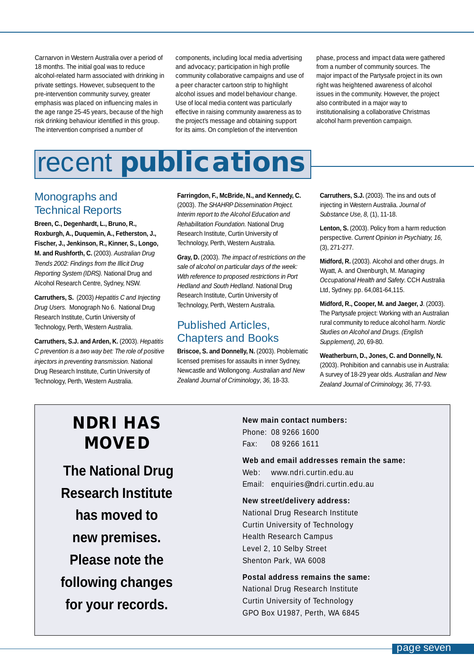<span id="page-6-0"></span>Carnarvon in Western Australia over a period of 18 months. The initial goal was to reduce alcohol-related harm associated with drinking in private settings. However, subsequent to the pre-intervention community survey, greater emphasis was placed on influencing males in the age range 25-45 years, because of the high risk drinking behaviour identified in this group. The intervention comprised a number of

components, including local media advertising and advocacy; participation in high profile community collaborative campaigns and use of a peer character cartoon strip to highlight alcohol issues and model behaviour change. Use of local media content was particularly effective in raising community awareness as to the project's message and obtaining support for its aims. On completion of the intervention

phase, process and impact data were gathered from a number of community sources. The major impact of the Partysafe project in its own right was heightened awareness of alcohol issues in the community. However, the project also contributed in a major way to institutionalising a collaborative Christmas alcohol harm prevention campaign.

# recent **publications**

#### Monographs and Technical Reports

**Breen, C., Degenhardt, L., Bruno, R., Roxburgh, A., Duquemin, A., Fetherston, J., Fischer, J., Jenkinson, R., Kinner, S., Longo, M. and Rushforth, C.** (2003). *Australian Drug Trends 2002: Findings from the Illicit Drug Reporting System (IDRS).* National Drug and Alcohol Research Centre, Sydney, NSW*.*

**Carruthers, S.** (2003) *Hepatitis C and Injecting Drug Users.* Monograph No 6. National Drug Research Institute, Curtin University of Technology, Perth, Western Australia.

**Carruthers, S.J. and Arden, K.** (2003). *Hepatitis C prevention is a two way bet: The role of positive injectors in preventing transmission.* National Drug Research Institute, Curtin University of Technology, Perth, Western Australia.

**Farringdon, F., McBride, N., and Kennedy, C.**

(2003). *The SHAHRP Dissemination Project. Interim report to the Alcohol Education and Rehabilitation Foundation.* National Drug Research Institute, Curtin University of Technology, Perth, Western Australia.

**Gray, D.** (2003). *The impact of restrictions on the sale of alcohol on particular days of the week: With reference to proposed restrictions in Port Hedland and South Hedland.* National Drug Research Institute, Curtin University of Technology, Perth, Western Australia.

### Published Articles, Chapters and Books

**Briscoe, S. and Donnelly, N.** (2003). Problematic licensed premises for assaults in inner Sydney, Newcastle and Wollongong. *Australian and New Zealand Journal of Criminology*, *36,* 18-33.

**Carruthers, S.J.** (2003). The ins and outs of injecting in Western Australia. *Journal of Substance Use, 8,* (1), 11-18.

**Lenton, S.** (2003). Policy from a harm reduction perspective. *Current Opinion in Psychiatry, 16,* (3), 271-277.

**Midford, R.** (2003). Alcohol and other drugs. *In* Wyatt, A. and Oxenburgh, M. *Managing Occupational Health and Safety*. CCH Australia Ltd, Sydney. pp. 64,081-64,115.

**Midford, R., Cooper, M. and Jaeger, J**. (2003). The Partysafe project: Working with an Australian rural community to reduce alcohol harm. *Nordic Studies on Alcohol and Drugs. (English Supplement), 20*, 69-80.

**Weatherburn, D., Jones, C. and Donnelly, N.** (2003). Prohibition and cannabis use in Australia: A survey of 18-29 year olds. *Australian and New Zealand Journal of Criminology, 36*, 77-93.

# **NDRI HAS MOVED**

**The National Drug Research Institute has moved to new premises. Please note the following changes for your records.**

### **New main contact numbers:**

Phone: 08 9266 1600 Fax: 08 9266 1611

#### **Web and email addresses remain the same:**

Web: www.ndri.curtin.edu.au Email: enquiries@ndri.curtin.edu.au

#### **New street/delivery address:**

National Drug Research Institute Curtin University of Technology Health Research Campus Level 2, 10 Selby Street Shenton Park, WA 6008

#### **Postal address remains the same:**

National Drug Research Institute Curtin University of Technology GPO Box U1987, Perth, WA 6845